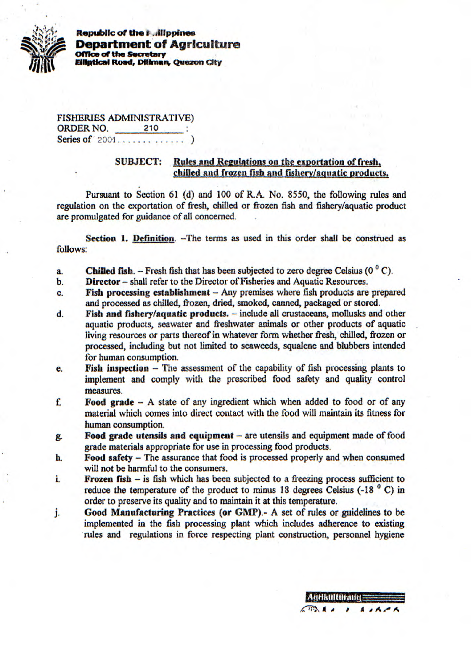

**Republic of the i Alippines Department of Agriculture Coffice of the Secretary Filiptical Road, Diffman, Quezon City** 

FISHERIES ADMINISTRATIVE) **ORDER NO.** 210 : Series of flCDJ .............)

## **SUBJECT:** Rules and Regulations on the exportation of fresh. chilled and frozen fish and fishery/aquatic products.

Pursuant to Section 61(d) and 100 of R.A. No. *8550,* the following rules and regulation on the exportation of fresh, chilled or frozen fish and fishery/aquatic product are promulgated for guidance of all concerned.

**Section 1. Definition.** —The terms as used in this order shall be construed as follows:

- **a. Chilled fish.**  $-$  Fresh fish that has been subjected to zero degree Celsius ( $0^{\circ}$  C).
- **b. Director** shall refer to the Director of Fisheries and Aquatic Resources.
- C. **Fish processing establishment**  Any premises where fish products are prepared and processed as chilled, frozen, dried, smoked, canned, packaged or stored.
- **d. Fish and fishery/aquatic products.**  include all crustaceans, mollusks and other aquatic products, seawater and freshwater animals or other products of aquatic living resources or parts thereof in whatever form whether fresh, chilled, frozen or processed, including but not limited to seaweeds, squalene and blubbers intended for human consumption.
- **e.** Fish inspection The assessment of the capability of fish processing plants to implement and comply with the prescribed food safety and quality control measures.
- **f. Food grade** A state of any ingredient *which when* added to food or of any material which comes into direct contact with the food will maintain its fitness for human consumption.
- **g. Food grade utensils and equipment**  are utensils and equipment made of food grade materials appropriate for *use* in processing food products.
- **h. Food safety**  The assurance that food is processed properly and when consumed will not be harmful to the consumers.
- i. **Frozen fish** is fish which has been subjected to a freezing process sufficient to reduce the temperature of the product to minus 18 degrees Celsius  $(-18<sup>o</sup> C)$  in order to preserve its quality and to maintain it at this temperature.
- **j. Good Manufacturing Practices (or GMP).-** A set of rules or guidelines to be implemented in the fish processing plant which includes adherence to existing rules and regulations in force respecting plant construction, personnel hygiene

Adrikulturand  $\sqrt{10}$ 

 $A \cdot A$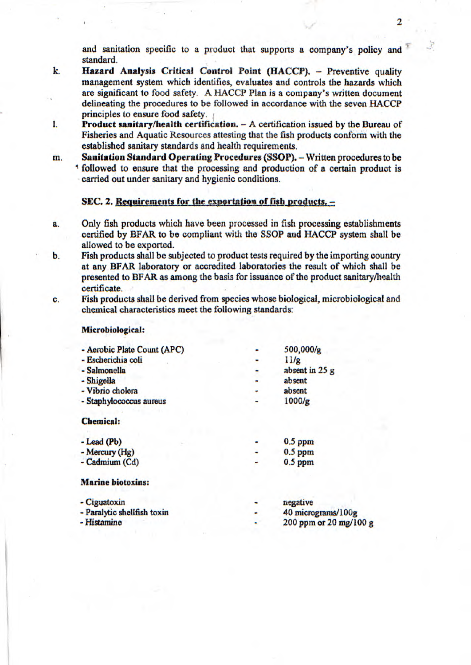and sanitation specific to a product that supports a company's policy and standard.

- **k. Hazard Analysis Critical Control Point (HACCP).** Preventive quality management system which identifies, evaluates and controls the hazards which are significant to food safety. A HACCP Plan is a company's written document delineating the procedures to be followed in accordance with the seven HACCP principles to ensure food *safety.*
- 1. **Product sanitary/health certification.** A certification issued by the Bureau of Fisheries and Aquatic Resources attesting that the fish products conform with the established sanitary standards and health requirements.
- m. **Sanitation Standard Operating Procedures (SSOP).** Written procedures to be followed to ensure that the processing and production of a certain product is carried out under sanitary and hygienic conditions.

## **SEC. 2. Requirements for the exportation of fish products. -**

- a. Only fish products which have been processed in fish processing establishments certified by BFAR to be compliant with the SSOP and HACCP system shall be allowed to be exported.
- b. Fish products shall be subjected to product tests required by the importing country at any BFAR laboratory or accredited laboratories the result of which shall be presented to BFAR as among the basis for issuance of the product sanitary/health certificate.
- C. Fish products shall be derived from species whose biological, microbiological and chemical characteristics meet the following standards:

## Microbiological:

| - Aerobic Plate Count (APC) | 500,000/g              |
|-----------------------------|------------------------|
| - Escherichia coli          | 11/g                   |
| - Salmonella                | absent in 25 g         |
| - Shigella                  | absent                 |
| - Vibrio cholera            | absent                 |
| - Staphylococcus aureus     | 1000/g                 |
| <b>Chemical:</b>            |                        |
| $-Lead(Pb)$                 | $0.5$ ppm              |
| - Mercury (Hg)              | $0.5$ ppm              |
| - Cadmium (Cd)              | $0.5$ ppm              |
| <b>Marine biotoxins:</b>    |                        |
| - Ciguatoxin                | negative               |
| - Paralytic shellfish toxin | 40 micrograms/100g     |
| - Histamine                 | 200 ppm or 20 mg/100 g |
|                             |                        |

2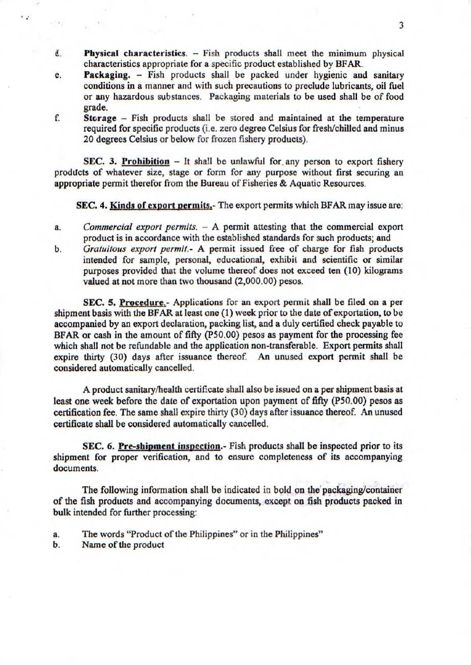- Č. **Physical characteristics.** - Fish products shall meet the minimum physical characteristics appropriate *for a* specific product established by BFAR.
- **e. Packaging.**  Fish products shall be packed under hygienic and sanitary conditions in a manner and with such precautions to preclude lubricants, oil fuel or any hazardous substances. Packaging materials to be used shall be of food grade.
- **f. Storage**  Fish products shall he stored and maintained at the temperature required for specific products (i.e. zero degree Celsius for fresh/chilled and minus 20 degrees Celsius or below for frozen fishery products).

**SEC. 3. Prohibition** – It shall be unlawful for any person to export fishery products of whatever size, stage or form for any purpose without first securing an appropriate permit therefor from the Bureau of Fisheries & Aquatic Resources.

**SEC. 4. Kinds of export permits.-** The export permits which BFAR may issue are:

- *a. Commercial export permits.* A permit attesting that the commercial export product is in accordance with the established standards for such products; and
- *b. Gratuitous export permit.-* A permit issued free of charge for fish products intended for sample, personal, educational, exhibit and scientific or similar purposes provided that the volume thereof does not exceed ten (10) kilograms valued at not more than two thousand (2,000.00) pesos.

**SEC.** *5.* **Procedure.-** Applications for an export permit shall be filed on a per shipment basis with the BFAR at least one (1) week prior to the date of exportation, to be accompanied by an export declaration, packing list, and a duly certified check payable to BFAR or cash in the amount of fifty (P50.00) pesos as payment for the processing fee which shall not be refundable and the application non-transferable. Export permits shall expire thirty (30) days after issuance thereof. An unused export permit shall be considered automatically cancelled.

A product sanitary/health certificate shall also be issued on a per shipment basis at least one week before the date of exportation upon payment of fifty (P50.00) pesos as certification fee. The same shall expire thirty (30) days after issuance thereof. An unused certificate shall be considered automatically cancelled.

**SEC. 6. Pre-shipment inspection.**- Fish products shall be inspected prior to its shipment for proper verification, and to ensure completeness of its accompanying documents.

The following information shall be indicated in bold on the packaging/container of the fish products and accompanying documents, except on fish products packed in bulk intended for further processing:

- a. The words "Product of the Philippines" or in the Philippines"
- b. Name of the product

62

 $x = 1$